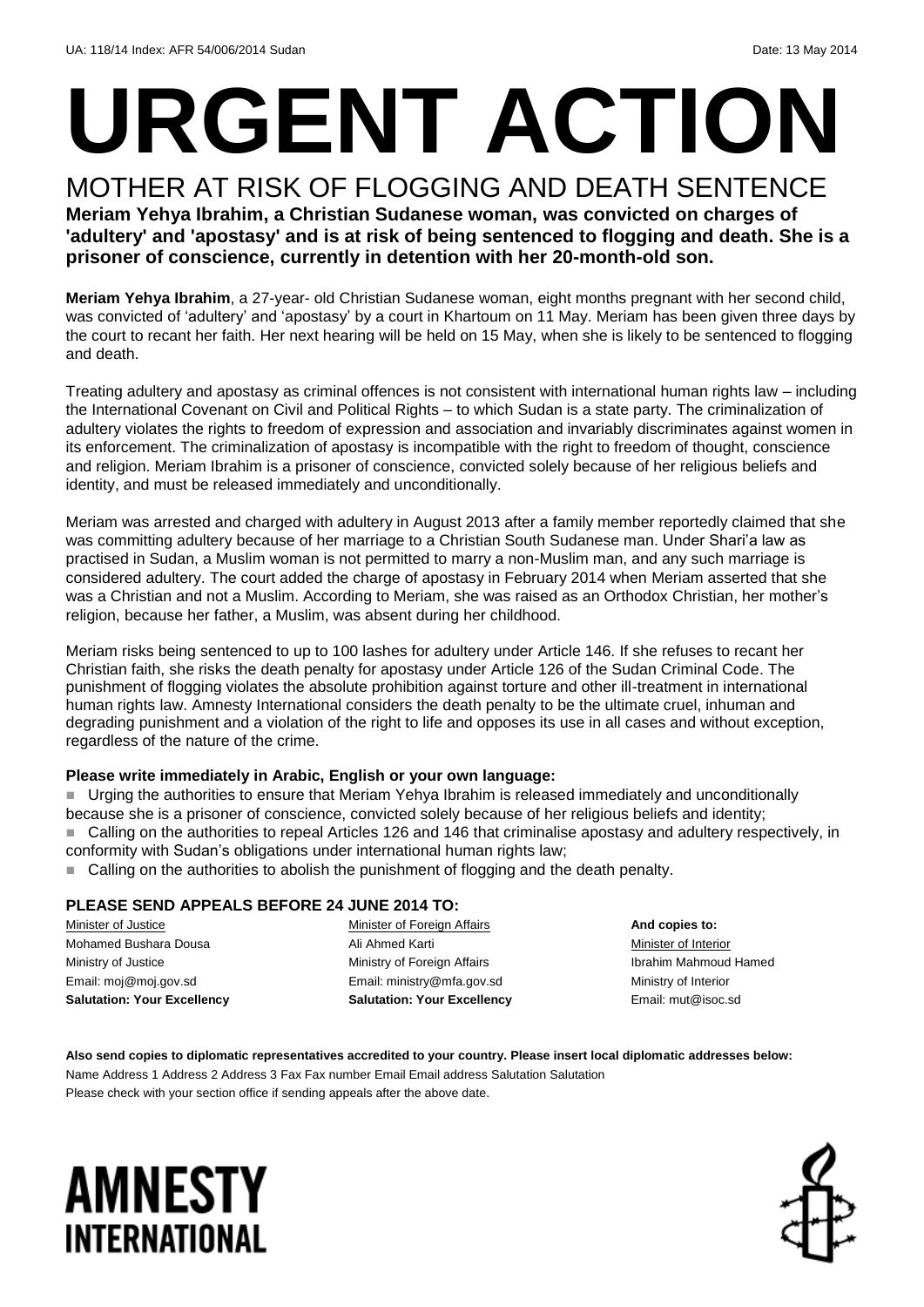# **URGENT ACTION**

MOTHER AT RISK OF FLOGGING AND DEATH SENTENCE **Meriam Yehya Ibrahim, a Christian Sudanese woman, was convicted on charges of 'adultery' and 'apostasy' and is at risk of being sentenced to flogging and death. She is a prisoner of conscience, currently in detention with her 20-month-old son.** 

**Meriam Yehya Ibrahim**, a 27-year- old Christian Sudanese woman, eight months pregnant with her second child, was convicted of 'adultery' and 'apostasy' by a court in Khartoum on 11 May. Meriam has been given three days by the court to recant her faith. Her next hearing will be held on 15 May, when she is likely to be sentenced to flogging and death.

Treating adultery and apostasy as criminal offences is not consistent with international human rights law – including the International Covenant on Civil and Political Rights – to which Sudan is a state party. The criminalization of adultery violates the rights to freedom of expression and association and invariably discriminates against women in its enforcement. The criminalization of apostasy is incompatible with the right to freedom of thought, conscience and religion. Meriam Ibrahim is a prisoner of conscience, convicted solely because of her religious beliefs and identity, and must be released immediately and unconditionally.

Meriam was arrested and charged with adultery in August 2013 after a family member reportedly claimed that she was committing adultery because of her marriage to a Christian South Sudanese man. Under Shari'a law as practised in Sudan, a Muslim woman is not permitted to marry a non-Muslim man, and any such marriage is considered adultery. The court added the charge of apostasy in February 2014 when Meriam asserted that she was a Christian and not a Muslim. According to Meriam, she was raised as an Orthodox Christian, her mother's religion, because her father, a Muslim, was absent during her childhood.

Meriam risks being sentenced to up to 100 lashes for adultery under Article 146. If she refuses to recant her Christian faith, she risks the death penalty for apostasy under Article 126 of the Sudan Criminal Code. The punishment of flogging violates the absolute prohibition against torture and other ill-treatment in international human rights law. Amnesty International considers the death penalty to be the ultimate cruel, inhuman and degrading punishment and a violation of the right to life and opposes its use in all cases and without exception, regardless of the nature of the crime.

### **Please write immediately in Arabic, English or your own language:**

 Urging the authorities to ensure that Meriam Yehya Ibrahim is released immediately and unconditionally because she is a prisoner of conscience, convicted solely because of her religious beliefs and identity; Calling on the authorities to repeal Articles 126 and 146 that criminalise apostasy and adultery respectively, in conformity with Sudan's obligations under international human rights law;

■ Calling on the authorities to abolish the punishment of flogging and the death penalty.

### **PLEASE SEND APPEALS BEFORE 24 JUNE 2014 TO:**

Minister of Justice Mohamed Bushara Dousa Ministry of Justice Email: moj@moj.gov.sd **Salutation: Your Excellency** Minister of Foreign Affairs Ali Ahmed Karti Ministry of Foreign Affairs Email[: ministry@mfa.gov.sd](mailto:ministry@mfa.go)  **Salutation: Your Excellency**

**And copies to:** Minister of Interior Ibrahim Mahmoud Hamed Ministry of Interior Email: mut@isoc.sd

**Also send copies to diplomatic representatives accredited to your country. Please insert local diplomatic addresses below:** Name Address 1 Address 2 Address 3 Fax Fax number Email Email address Salutation Salutation Please check with your section office if sending appeals after the above date.